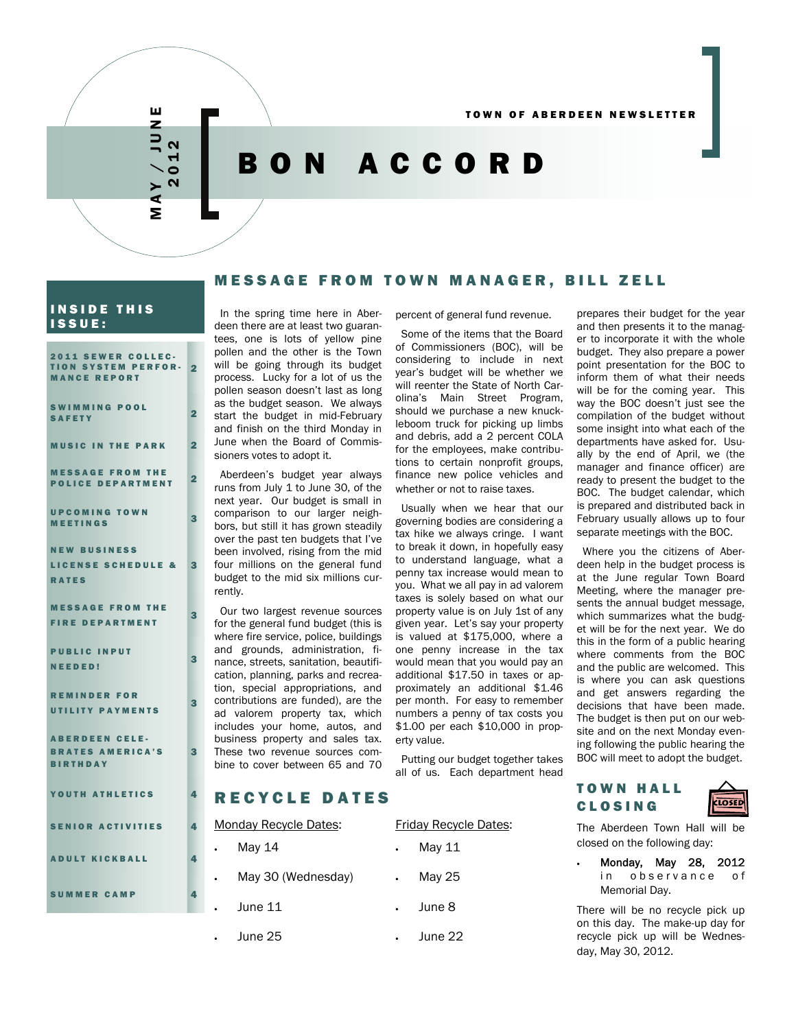# MAY / JUNE 2012

# BON ACCORD

# INSIDE THIS ISSUE:

| 2011 SEWER COLLEC-<br><b>TION SYSTEM PERFOR-</b><br><b>MANCE REPORT</b> | $\overline{2}$          |
|-------------------------------------------------------------------------|-------------------------|
| <b>SWIMMING POOL</b><br><b>SAFETY</b>                                   | $\overline{2}$          |
| <b>MUSIC IN THE PARK</b>                                                | $\overline{2}$          |
| <b>MESSAGE FROM THE</b><br><b>POLICE DEPARTMENT</b>                     | $\overline{\mathbf{2}}$ |
| <b>UPCOMING TOWN</b><br><b>MEETINGS</b>                                 | 3                       |
| <b>NEW BUSINESS</b>                                                     |                         |
| <b>LICENSE SCHEDULE &amp;</b>                                           | 3                       |
| <b>RATES</b>                                                            |                         |
| <b>MESSAGE FROM THE</b>                                                 |                         |
| <b>FIRE DEPARTMENT</b>                                                  | 3                       |
| <b>PUBLIC INPUT</b>                                                     |                         |
| <b>NEEDED!</b>                                                          | З                       |
|                                                                         |                         |
| <b>REMINDER FOR</b><br><b>UTILITY PAYMENTS</b>                          | 3                       |
|                                                                         |                         |
| <b>ABERDEEN CELE-</b>                                                   |                         |
| <b>BRATES AMERICA'S</b><br><b>BIRTHDAY</b>                              | 3                       |
|                                                                         |                         |
| YOUTH ATHLETICS                                                         | 4                       |
|                                                                         |                         |
| <b>SENIOR ACTIVITIES</b>                                                | 4                       |
| <b>ADULT KICKBALL</b>                                                   | 4                       |
| <b>SUMMER CAMP</b>                                                      | 4                       |
|                                                                         |                         |

#### In the spring time here in Aberdeen there are at least two guarantees, one is lots of yellow pine pollen and the other is the Town will be going through its budget process. Lucky for a lot of us the pollen season doesn't last as long as the budget season. We always start the budget in mid-February and finish on the third Monday in June when the Board of Commissioners votes to adopt it.

Aberdeen's budget year always runs from July 1 to June 30, of the next year. Our budget is small in comparison to our larger neighbors, but still it has grown steadily over the past ten budgets that I've been involved, rising from the mid four millions on the general fund budget to the mid six millions currently.

Our two largest revenue sources for the general fund budget (this is where fire service, police, buildings and grounds, administration, finance, streets, sanitation, beautification, planning, parks and recreation, special appropriations, and contributions are funded), are the ad valorem property tax, which includes your home, autos, and business property and sales tax. These two revenue sources combine to cover between 65 and 70

percent of general fund revenue.

MESSAGE FROM TOWN MANAGER, BILL ZELL

Some of the items that the Board of Commissioners (BOC), will be considering to include in next year's budget will be whether we will reenter the State of North Carolina's Main Street Program, should we purchase a new knuckleboom truck for picking up limbs and debris, add a 2 percent COLA for the employees, make contributions to certain nonprofit groups, finance new police vehicles and whether or not to raise taxes.

Usually when we hear that our governing bodies are considering a tax hike we always cringe. I want to break it down, in hopefully easy to understand language, what a penny tax increase would mean to you. What we all pay in ad valorem taxes is solely based on what our property value is on July 1st of any given year. Let's say your property is valued at \$175,000, where a one penny increase in the tax would mean that you would pay an additional \$17.50 in taxes or approximately an additional \$1.46 per month. For easy to remember numbers a penny of tax costs you \$1.00 per each \$10,000 in property value.

Putting our budget together takes all of us. Each department head

prepares their budget for the year and then presents it to the manager to incorporate it with the whole budget. They also prepare a power point presentation for the BOC to inform them of what their needs will be for the coming year. This way the BOC doesn't just see the compilation of the budget without some insight into what each of the departments have asked for. Usually by the end of April, we (the manager and finance officer) are ready to present the budget to the BOC. The budget calendar, which is prepared and distributed back in February usually allows up to four separate meetings with the BOC.

Where you the citizens of Aberdeen help in the budget process is at the June regular Town Board Meeting, where the manager presents the annual budget message, which summarizes what the budget will be for the next year. We do this in the form of a public hearing where comments from the BOC and the public are welcomed. This is where you can ask questions and get answers regarding the decisions that have been made. The budget is then put on our website and on the next Monday evening following the public hearing the BOC will meet to adopt the budget.

# RECYCLE DATES

| <b>Monday Recycle Dates:</b> |                    |           | <b>Friday Recycle Dates:</b> |  |  |
|------------------------------|--------------------|-----------|------------------------------|--|--|
|                              | May 14             |           | May 11                       |  |  |
|                              | May 30 (Wednesday) | $\bullet$ | May 25                       |  |  |
|                              | June 11            |           | June 8                       |  |  |
|                              | June 25            |           | June 22                      |  |  |

### TOWN HALL CLOSING



The Aberdeen Town Hall will be closed on the following day:

 Monday, May 28, 2012 in observance of Memorial Day.

There will be no recycle pick up on this day. The make-up day for recycle pick up will be Wednesday, May 30, 2012.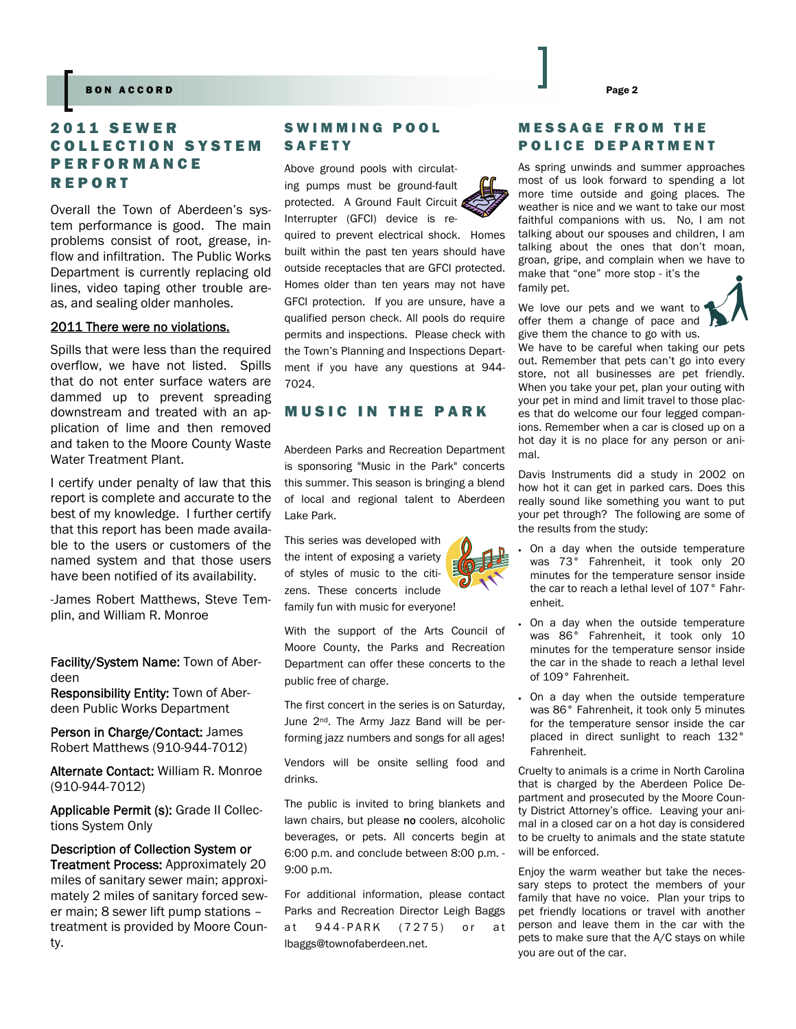#### Page 2 BON ACCORD Page 2

# 2011 SEWER COLLECTION SYSTEM **PERFORMANCE** REPORT

Overall the Town of Aberdeen's system performance is good. The main problems consist of root, grease, inflow and infiltration. The Public Works Department is currently replacing old lines, video taping other trouble areas, and sealing older manholes.

#### 2011 There were no violations.

Spills that were less than the required overflow, we have not listed. Spills that do not enter surface waters are dammed up to prevent spreading downstream and treated with an application of lime and then removed and taken to the Moore County Waste Water Treatment Plant.

I certify under penalty of law that this report is complete and accurate to the best of my knowledge. I further certify that this report has been made available to the users or customers of the named system and that those users have been notified of its availability.

-James Robert Matthews, Steve Templin, and William R. Monroe

Facility/System Name: Town of Aberdeen

Responsibility Entity: Town of Aberdeen Public Works Department

Person in Charge/Contact: James Robert Matthews (910-944-7012)

Alternate Contact: William R. Monroe (910-944-7012)

Applicable Permit (s): Grade II Collections System Only

Description of Collection System or Treatment Process: Approximately 20 miles of sanitary sewer main; approximately 2 miles of sanitary forced sewer main; 8 sewer lift pump stations – treatment is provided by Moore County.

## SWIMMING POOL SAFETY

Above ground pools with circulating pumps must be ground-fault protected. A Ground Fault Circuit Interrupter (GFCI) device is re-

quired to prevent electrical shock. Homes built within the past ten years should have outside receptacles that are GFCI protected. Homes older than ten years may not have GFCI protection. If you are unsure, have a qualified person check. All pools do require permits and inspections. Please check with the Town's Planning and Inspections Department if you have any questions at 944- 7024.

# MUSIC IN THE PARK

Aberdeen Parks and Recreation Department is sponsoring "Music in the Park" concerts this summer. This season is bringing a blend of local and regional talent to Aberdeen Lake Park.

This series was developed with the intent of exposing a variety of styles of music to the citizens. These concerts include family fun with music for everyone!

With the support of the Arts Council of Moore County, the Parks and Recreation Department can offer these concerts to the public free of charge.

The first concert in the series is on Saturday, June 2<sup>nd</sup>. The Army Jazz Band will be performing jazz numbers and songs for all ages!

Vendors will be onsite selling food and drinks.

The public is invited to bring blankets and lawn chairs, but please no coolers, alcoholic beverages, or pets. All concerts begin at 6:00 p.m. and conclude between 8:00 p.m. - 9:00 p.m.

For additional information, please contact Parks and Recreation Director Leigh Baggs at 944-PARK (7275) or at lbaggs@townofaberdeen.net.

# MESSAGE FROM THE POLICE DEPARTMENT

As spring unwinds and summer approaches most of us look forward to spending a lot more time outside and going places. The weather is nice and we want to take our most faithful companions with us. No, I am not talking about our spouses and children, I am talking about the ones that don't moan, groan, gripe, and complain when we have to make that "one" more stop - it's the family pet.

We love our pets and we want to offer them a change of pace and give them the chance to go with us.

We have to be careful when taking our pets out. Remember that pets can't go into every store, not all businesses are pet friendly. When you take your pet, plan your outing with your pet in mind and limit travel to those places that do welcome our four legged companions. Remember when a car is closed up on a hot day it is no place for any person or animal.

Davis Instruments did a study in 2002 on how hot it can get in parked cars. Does this really sound like something you want to put your pet through? The following are some of the results from the study:

- On a day when the outside temperature was 73° Fahrenheit, it took only 20 minutes for the temperature sensor inside the car to reach a lethal level of 107° Fahrenheit.
	- On a day when the outside temperature was 86° Fahrenheit, it took only 10 minutes for the temperature sensor inside the car in the shade to reach a lethal level of 109° Fahrenheit.
- On a day when the outside temperature was 86° Fahrenheit, it took only 5 minutes for the temperature sensor inside the car placed in direct sunlight to reach 132° Fahrenheit.

Cruelty to animals is a crime in North Carolina that is charged by the Aberdeen Police Department and prosecuted by the Moore County District Attorney's office. Leaving your animal in a closed car on a hot day is considered to be cruelty to animals and the state statute will be enforced.

Enjoy the warm weather but take the necessary steps to protect the members of your family that have no voice. Plan your trips to pet friendly locations or travel with another person and leave them in the car with the pets to make sure that the A/C stays on while you are out of the car.





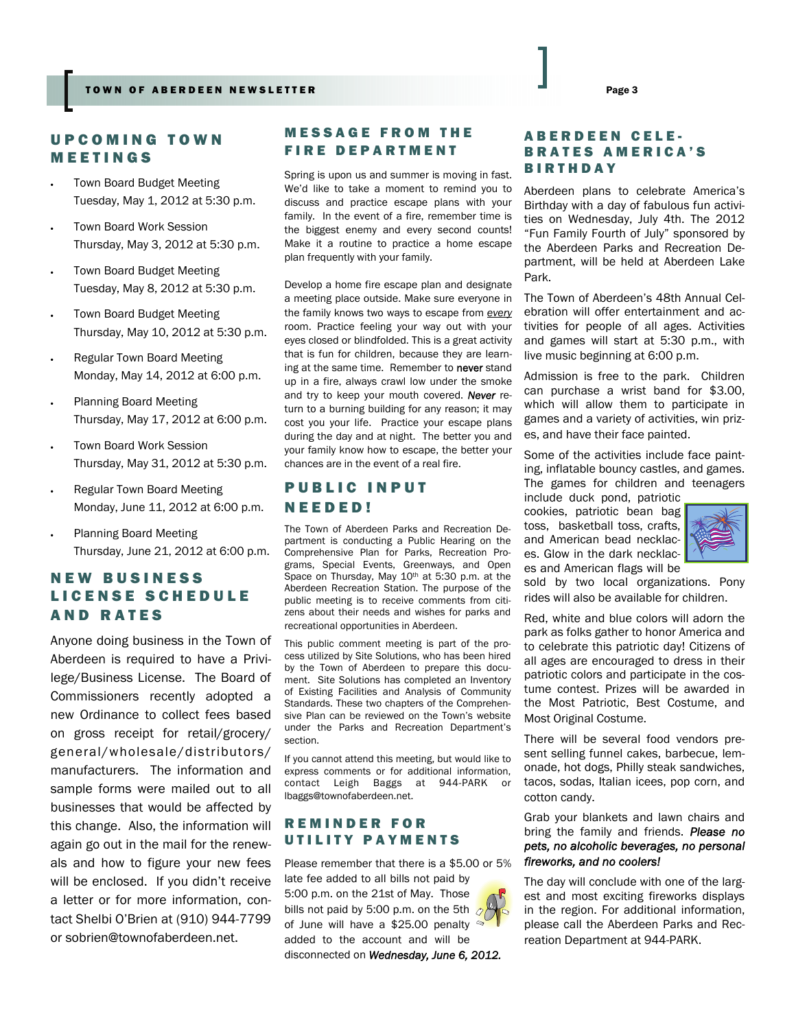# UPCOMING TOWN MEETINGS

- Town Board Budget Meeting Tuesday, May 1, 2012 at 5:30 p.m.
- Town Board Work Session Thursday, May 3, 2012 at 5:30 p.m.
- Town Board Budget Meeting Tuesday, May 8, 2012 at 5:30 p.m.
- Town Board Budget Meeting Thursday, May 10, 2012 at 5:30 p.m.
- Regular Town Board Meeting Monday, May 14, 2012 at 6:00 p.m.
- Planning Board Meeting Thursday, May 17, 2012 at 6:00 p.m.
- Town Board Work Session Thursday, May 31, 2012 at 5:30 p.m.
- Regular Town Board Meeting Monday, June 11, 2012 at 6:00 p.m.
- Planning Board Meeting Thursday, June 21, 2012 at 6:00 p.m.

# NEW BUSINESS LICENSE SCHEDULE AND RATES

Anyone doing business in the Town of Aberdeen is required to have a Privilege/Business License. The Board of Commissioners recently adopted a new Ordinance to collect fees based on gross receipt for retail/grocery/ general/wholesale/distributors/ manufacturers. The information and sample forms were mailed out to all businesses that would be affected by this change. Also, the information will again go out in the mail for the renewals and how to figure your new fees will be enclosed. If you didn't receive a letter or for more information, contact Shelbi O'Brien at (910) 944-7799 or sobrien@townofaberdeen.net.

# MESSAGE FROM THE FIRE DEPARTMENT

Spring is upon us and summer is moving in fast. We'd like to take a moment to remind you to discuss and practice escape plans with your family. In the event of a fire, remember time is the biggest enemy and every second counts! Make it a routine to practice a home escape plan frequently with your family.

Develop a home fire escape plan and designate a meeting place outside. Make sure everyone in the family knows two ways to escape from *every*  room. Practice feeling your way out with your eyes closed or blindfolded. This is a great activity that is fun for children, because they are learning at the same time. Remember to never stand up in a fire, always crawl low under the smoke and try to keep your mouth covered. *Never* return to a burning building for any reason; it may cost you your life. Practice your escape plans during the day and at night. The better you and your family know how to escape, the better your chances are in the event of a real fire.

# PUBLIC INPUT NEEDED!

The Town of Aberdeen Parks and Recreation Department is conducting a Public Hearing on the Comprehensive Plan for Parks, Recreation Programs, Special Events, Greenways, and Open Space on Thursday, May 10<sup>th</sup> at 5:30 p.m. at the Aberdeen Recreation Station. The purpose of the public meeting is to receive comments from citizens about their needs and wishes for parks and recreational opportunities in Aberdeen.

This public comment meeting is part of the process utilized by Site Solutions, who has been hired by the Town of Aberdeen to prepare this document. Site Solutions has completed an Inventory of Existing Facilities and Analysis of Community Standards. These two chapters of the Comprehensive Plan can be reviewed on the Town's website under the Parks and Recreation Department's section.

If you cannot attend this meeting, but would like to express comments or for additional information, contact Leigh Baggs at 944-PARK or lbaggs@townofaberdeen.net.

# REMINDER FOR UTILITY PAYMENTS

Please remember that there is a \$5.00 or 5% late fee added to all bills not paid by 5:00 p.m. on the 21st of May. Those bills not paid by 5:00 p.m. on the 5th  $\sqrt{2}$ of June will have a \$25.00 penalty added to the account and will be disconnected on *Wednesday, June 6, 2012.*

# ABERDEEN CELE-BRATES AMERICA'S BIRTHDAY

Aberdeen plans to celebrate America's Birthday with a day of fabulous fun activities on Wednesday, July 4th. The 2012 "Fun Family Fourth of July" sponsored by the Aberdeen Parks and Recreation Department, will be held at Aberdeen Lake Park.

The Town of Aberdeen's 48th Annual Celebration will offer entertainment and activities for people of all ages. Activities and games will start at 5:30 p.m., with live music beginning at 6:00 p.m.

Admission is free to the park. Children can purchase a wrist band for \$3.00, which will allow them to participate in games and a variety of activities, win prizes, and have their face painted.

Some of the activities include face painting, inflatable bouncy castles, and games. The games for children and teenagers

include duck pond, patriotic cookies, patriotic bean bag toss, basketball toss, crafts, and American bead necklaces. Glow in the dark necklaces and American flags will be



sold by two local organizations. Pony rides will also be available for children.

Red, white and blue colors will adorn the park as folks gather to honor America and to celebrate this patriotic day! Citizens of all ages are encouraged to dress in their patriotic colors and participate in the costume contest. Prizes will be awarded in the Most Patriotic, Best Costume, and Most Original Costume.

There will be several food vendors present selling funnel cakes, barbecue, lemonade, hot dogs, Philly steak sandwiches, tacos, sodas, Italian icees, pop corn, and cotton candy.

Grab your blankets and lawn chairs and bring the family and friends. *Please no pets, no alcoholic beverages, no personal fireworks, and no coolers!* 

The day will conclude with one of the largest and most exciting fireworks displays in the region. For additional information, please call the Aberdeen Parks and Recreation Department at 944-PARK.